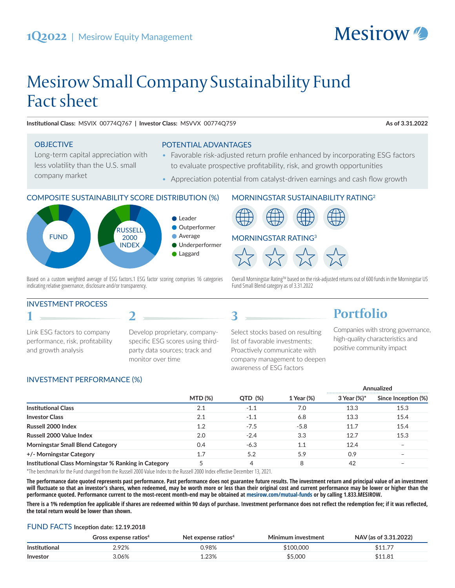# Mesirow Small Company Sustainability Fund Fact sheet

**Institutional Class:** MSVIX 00774Q767 **| Investor Class:** MSVVX 00774Q759 **As of 3.31.2022**

**Mesirow** 

#### **OBJECTIVE**

company market

Long-term capital appreciation with less volatility than the U.S. small

POTENTIAL ADVANTAGES

- Favorable risk-adjusted return profile enhanced by incorporating ESG factors to evaluate prospective profitability, risk, and growth opportunities
- Appreciation potential from catalyst-driven earnings and cash flow growth

#### COMPOSITE SUSTAINABILITY SCORE DISTRIBUTION (%)



Based on a custom weighted average of ESG factors.1 ESG factor scoring comprises 16 categories indicating relative governance, disclosure and/or transparency.

**2**

#### INVESTMENT PROCESS

**1**

Link ESG factors to company performance, risk, profitability and growth analysis

Develop proprietary, companyspecific ESG scores using thirdparty data sources; track and monitor over time

#### MORNINGSTAR SUSTAINABILITY RATING2



Overall Morningstar Rating™ based on the risk-adjusted returns out of 600 funds in the Morningstar US Fund Small Blend category as of 3.31.2022

Select stocks based on resulting list of favorable investments; Proactively communicate with company management to deepen awareness of ESG factors

## **Portfolio**

Companies with strong governance, high-quality characteristics and positive community impact

#### INVESTMENT PERFORMANCE (%)

|                                                       |                |         |            | Annualized  |                          |
|-------------------------------------------------------|----------------|---------|------------|-------------|--------------------------|
|                                                       | <b>MTD (%)</b> | QTD (%) | 1 Year (%) | 3 Year (%)* | Since Inception (%)      |
| <b>Institutional Class</b>                            | 2.1            | $-1.1$  | 7.0        | 13.3        | 15.3                     |
| <b>Investor Class</b>                                 | 2.1            | $-1.1$  | 6.8        | 13.3        | 15.4                     |
| Russell 2000 Index                                    | 1.2            | $-7.5$  | $-5.8$     | 11.7        | 15.4                     |
| Russell 2000 Value Index                              | 2.0            | $-2.4$  | 3.3        | 12.7        | 15.3                     |
| <b>Morningstar Small Blend Category</b>               | 0.4            | $-6.3$  |            | 12.4        | $\overline{\phantom{0}}$ |
| +/- Morningstar Category                              | 1.7            | 5.2     | 5.9        | 0.9         |                          |
| Institutional Class Morningstar % Ranking in Category | 5              | 4       | 8          | 42          |                          |

**3**

\*The benchmark for the Fund changed from the Russell 2000 Value Index to the Russell 2000 Index effective December 13, 2021.

**The performance date quoted represents past performance. Past performance does not guarantee future results. The investment return and principal value of an investment**  will fluctuate so that an investor's shares, when redeemed, may be worth more or less than their original cost and current performance may be lower or higher than the **performance quoted. Performance current to the most-recent month-end may be obtained at mesirow.com/mutual-funds or by calling 1.833.MESIROW.** 

**There is a 1% redemption fee applicable if shares are redeemed within 90 days of purchase. Investment performance does not reflect the redemption fee; if it was reflected, the total return would be lower than shown.**

#### FUND FACTS **Inception date: 12.19.2018**

|               | Gross expense ratios $4$ | Net expense ratios <sup>4</sup> | Minimum investment | NAV (as of 3.31.2022) |
|---------------|--------------------------|---------------------------------|--------------------|-----------------------|
| Institutional | ?.92%                    | 0.98%                           | \$100.000          | \$11.77               |
| Investor      | 3.06%                    | .23%                            | \$5,000            | \$11.81               |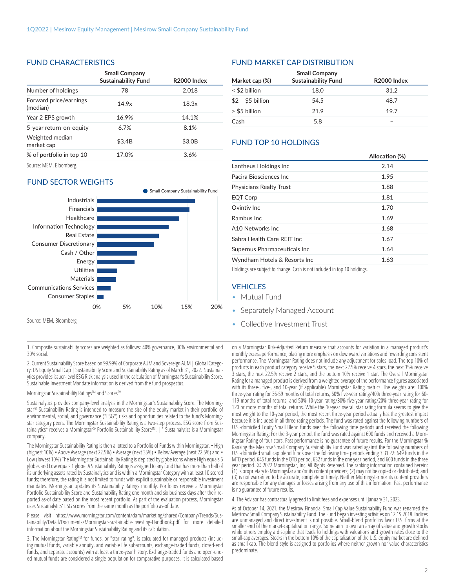#### FUND CHARACTERISTICS

|                                    | <b>Small Company</b><br><b>Sustainability Fund</b> | <b>R2000 Index</b> |
|------------------------------------|----------------------------------------------------|--------------------|
| Number of holdings                 | 78                                                 | 2.018              |
| Forward price/earnings<br>(median) | 14.9x                                              | 18.3x              |
| Year 2 EPS growth                  | 16.9%                                              | 14.1%              |
| 5-year return-on-equity            | 6.7%                                               | 8.1%               |
| Weighted median<br>market cap      | \$3.4B                                             | \$3.0B             |
| % of portfolio in top 10           | 17.0%                                              | 3.6%               |
|                                    |                                                    |                    |

Source: MEM, Bloomberg.

#### FUND SECTOR WEIGHTS



1. Composite sustainability scores are weighted as follows: 40% governance, 30% environmental and 30% social.

2. Current Sustainability Score based on 99.99% of Corporate AUM and Sovereign AUM | Global Category: US Equity Small Cap | Sustainability Score and Sustainability Rating as of March 31, 2022. Sustainalytics provides issuer-level ESG Risk analysis used in the calculation of Morningstar's Sustainability Score. Sustainable Investment Mandate information is derived from the fund prospectus.

Morningstar Sustainability Ratings™ and Scores™

Sustainalytics provides company-level analysis in the Morningstar's Sustainability Score. The Morningstar® Sustainability Rating is intended to measure the size of the equity market in their portfolio of environmental, social, and governance ("ESG") risks and opportunities related to the fund's Morningstar category peers. The Morningstar Sustainability Rating is a two-step process. ESG score from Sustainalytics\* receives a Morningstar® Portfolio Sustainability Score™. | \* Sustainalytics is a Morningstar company.

The Morningstar Sustainability Rating is then allotted to a Portfolio of Funds within Morningstar. • High (highest 10%) • Above Average (next 22.5%) • Average (next 35%) • Below Average (next 22.5%) and • Low (lowest 10%) The Morningstar Sustainability Rating is depicted by globe icons where High equals 5 globes and Low equals 1 globe. A Sustainability Rating is assigned to any fund that has more than half of its underlying assets rated by Sustainalytics and is within a Morningstar Category with at least 10 scored funds; therefore, the rating it is not limited to funds with explicit sustainable or responsible investment mandates. Morningstar updates its Sustainability Ratings monthly. Portfolios receive a Morningstar Portfolio Sustainability Score and Sustainability Rating one month and six business days after their reported as-of date based on the most recent portfolio. As part of the evaluation process, Morningstar uses Sustainalytics' ESG scores from the same month as the portfolio as-of date.

Please visit https://www.morningstar.com/content/dam/marketing/shared/Company/Trends/Sustainability/Detail/Documents/Morningstar-Sustainable-Investing-Handbook.pdf for more detailed information about the Morningstar Sustainability Rating and its calculation.

3. The Morningstar Rating™ for funds, or "star rating", is calculated for managed products (including mutual funds, variable annuity, and variable life subaccounts, exchange-traded funds, closed-end funds, and separate accounts) with at least a three-year history. Exchange-traded funds and open-ended mutual funds are considered a single population for comparative purposes. It is calculated based

#### FUND MARKET CAP DISTRIBUTION

| <b>Small Company</b> |                            |                         |  |
|----------------------|----------------------------|-------------------------|--|
| Market cap (%)       | <b>Sustainability Fund</b> | R <sub>2000</sub> Index |  |
| < \$2 billion        | 18.0                       | 31.2                    |  |
| $$2 - $5$ billion    | 54.5                       | 48.7                    |  |
| > \$5 billion        | 21.9                       | 19.7                    |  |
| Cash                 | 5.8                        |                         |  |

#### FUND TOP 10 HOLDINGS

|                                | Allocation (%) |
|--------------------------------|----------------|
| Lantheus Holdings Inc          | 2.14           |
| Pacira Biosciences Inc         | 1.95           |
| <b>Physicians Realty Trust</b> | 1.88           |
| EQT Corp                       | 1.81           |
| Ovintiy Inc.                   | 1.70           |
| Rambus Inc.                    | 1.69           |
| A10 Networks Inc               | 1.68           |
| Sabra Health Care REIT Inc.    | 1.67           |
| Supernus Pharmaceuticals Inc   | 1.64           |
| Wyndham Hotels & Resorts Inc   | 1.63           |
|                                |                |

Holdings are subject to change. Cash is not included in top 10 holdings.

#### **VEHICLES**

- Mutual Fund
- Separately Managed Account
- Collective Investment Trust

on a Morningstar Risk-Adjusted Return measure that accounts for variation in a managed product's monthly excess performance, placing more emphasis on downward variations and rewarding consistent performance. The Morningstar Rating does not include any adjustment for sales load. The top 10% of products in each product category receive 5 stars, the next 22.5% receive 4 stars, the next 35% receive 3 stars, the next 22.5% receive 2 stars, and the bottom 10% receive 1 star. The Overall Morningstar Rating for a managed product is derived from a weighted average of the performance figures associated with its three-, five-, and 10-year (if applicable) Morningstar Rating metrics. The weights are: 100% three-year rating for 36-59 months of total returns, 60% five-year rating/40% three-year rating for 60- 119 months of total returns, and 50% 10-year rating/30% five-year rating/20% three-year rating for 120 or more months of total returns. While the 10-year overall star rating formula seems to give the most weight to the 10-year period, the most recent three-year period actually has the greatest impact because it is included in all three rating periods. The fund was rated against the following numbers of U.S.-domiciled Equity Small Blend funds over the following time periods and received the following Morningstar Rating: For the 3-year period, the fund was rated against 600 funds and received a Morningstar Rating of four stars. Past performance is no guarantee of future results. For the Morningstar % Ranking the Mesirow Small Company Sustainability Fund was rated against the following numbers of U.S.-domiciled small cap blend funds over the following time periods ending 3.31.22: 649 funds in the MTD period, 645 funds in the QTD period, 632 funds in the one year period, and 600 funds in the three year period. © 2022 Morningstar, Inc. All Rights Reserved. The ranking information contained herein: (1) is proprietary to Morningstar and/or its content providers; (2) may not be copied or distributed; and (3) is not warranted to be accurate, complete or timely. Neither Morningstar nor its content providers are responsible for any damages or losses arising from any use of this information. Past performance is no guarantee of future results.

4. The Advisor has contractually agreed to limit fees and expenses until January 31, 2023.

As of October 14, 2021, the Mesirow Financial Small Cap Value Sustainability Fund was renamed the Mesirow Small Company Sustainability Fund. The Fund began investing activities on 12.19.2018. Indices are unmanaged and direct investment is not possible. Small-blend portfolios favor U.S. firms at the smaller end of the market-capitalization range. Some aim to own an array of value and growth stocks while others employ a discipline that leads to holdings with valuations and growth rates close to the small-cap averages. Stocks in the bottom 10% of the capitalization of the U.S. equity market are defined as small cap. The blend style is assigned to portfolios where neither growth nor value characteristics predominate.